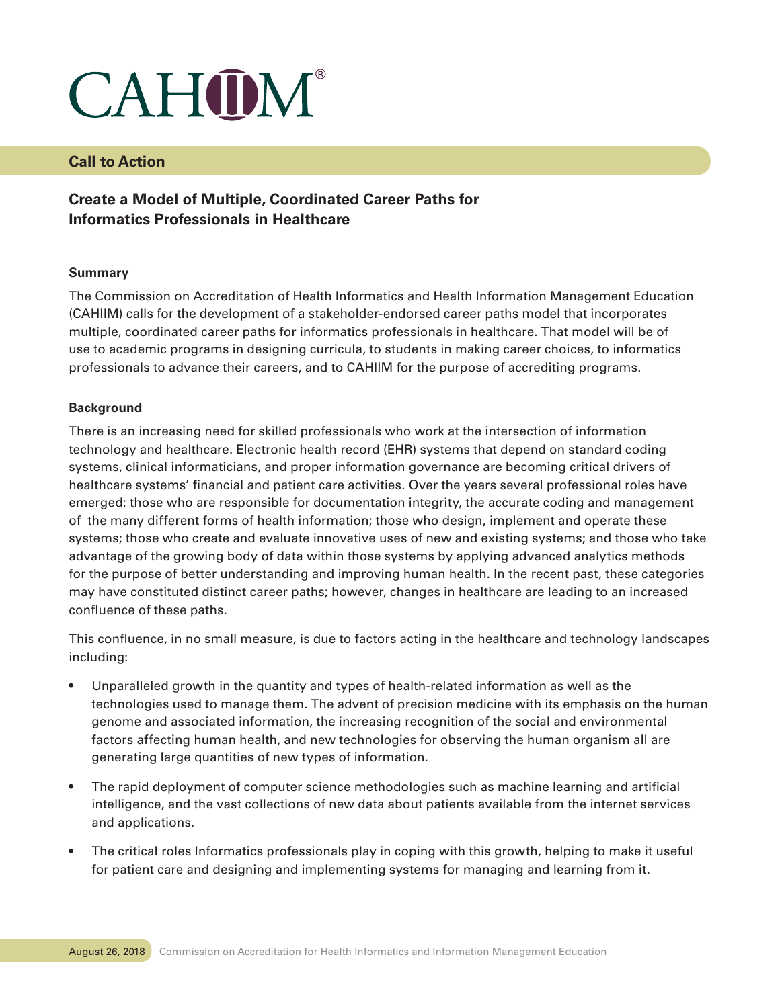# CAHOM®

### **Call to Action**

## **Create a Model of Multiple, Coordinated Career Paths for Informatics Professionals in Healthcare**

#### **Summary**

The Commission on Accreditation of Health Informatics and Health Information Management Education (CAHIIM) calls for the development of a stakeholder-endorsed career paths model that incorporates multiple, coordinated career paths for informatics professionals in healthcare. That model will be of use to academic programs in designing curricula, to students in making career choices, to informatics professionals to advance their careers, and to CAHIIM for the purpose of accrediting programs.

#### **Background**

There is an increasing need for skilled professionals who work at the intersection of information technology and healthcare. Electronic health record (EHR) systems that depend on standard coding systems, clinical informaticians, and proper information governance are becoming critical drivers of healthcare systems' financial and patient care activities. Over the years several professional roles have emerged: those who are responsible for documentation integrity, the accurate coding and management of the many different forms of health information; those who design, implement and operate these systems; those who create and evaluate innovative uses of new and existing systems; and those who take advantage of the growing body of data within those systems by applying advanced analytics methods for the purpose of better understanding and improving human health. In the recent past, these categories may have constituted distinct career paths; however, changes in healthcare are leading to an increased confluence of these paths.

This confluence, in no small measure, is due to factors acting in the healthcare and technology landscapes including:

- Unparalleled growth in the quantity and types of health-related information as well as the technologies used to manage them. The advent of precision medicine with its emphasis on the human genome and associated information, the increasing recognition of the social and environmental factors affecting human health, and new technologies for observing the human organism all are generating large quantities of new types of information.
- The rapid deployment of computer science methodologies such as machine learning and artificial intelligence, and the vast collections of new data about patients available from the internet services and applications.
- The critical roles Informatics professionals play in coping with this growth, helping to make it useful for patient care and designing and implementing systems for managing and learning from it.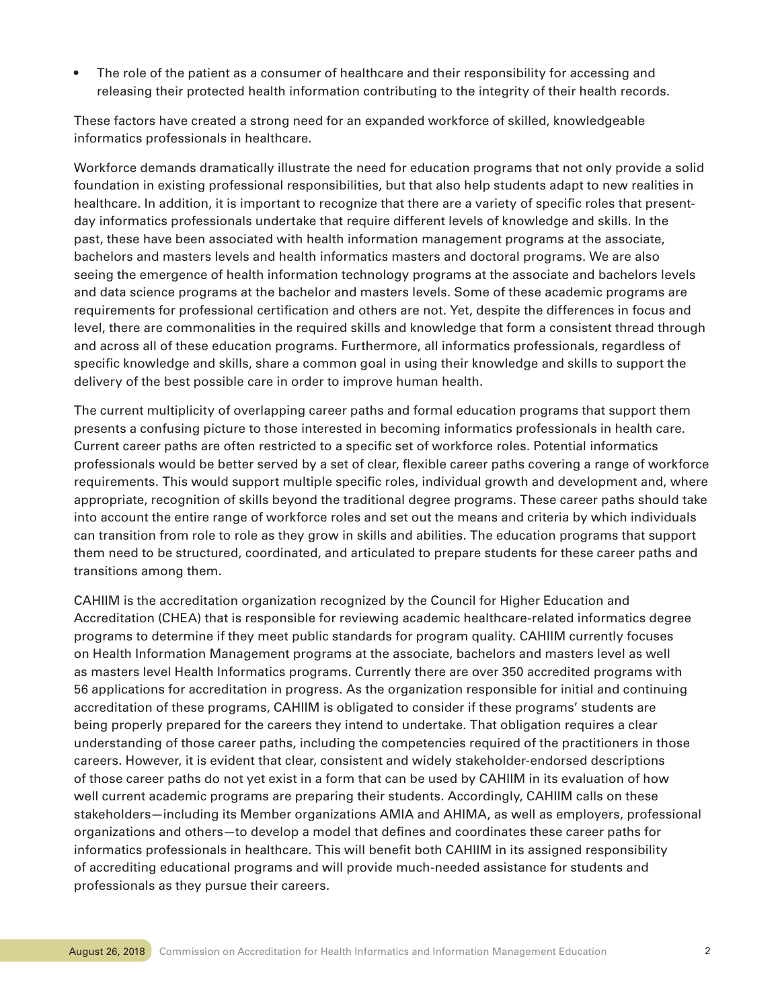The role of the patient as a consumer of healthcare and their responsibility for accessing and releasing their protected health information contributing to the integrity of their health records.

These factors have created a strong need for an expanded workforce of skilled, knowledgeable informatics professionals in healthcare.

Workforce demands dramatically illustrate the need for education programs that not only provide a solid foundation in existing professional responsibilities, but that also help students adapt to new realities in healthcare. In addition, it is important to recognize that there are a variety of specific roles that presentday informatics professionals undertake that require different levels of knowledge and skills. In the past, these have been associated with health information management programs at the associate, bachelors and masters levels and health informatics masters and doctoral programs. We are also seeing the emergence of health information technology programs at the associate and bachelors levels and data science programs at the bachelor and masters levels. Some of these academic programs are requirements for professional certification and others are not. Yet, despite the differences in focus and level, there are commonalities in the required skills and knowledge that form a consistent thread through and across all of these education programs. Furthermore, all informatics professionals, regardless of specific knowledge and skills, share a common goal in using their knowledge and skills to support the delivery of the best possible care in order to improve human health.

The current multiplicity of overlapping career paths and formal education programs that support them presents a confusing picture to those interested in becoming informatics professionals in health care. Current career paths are often restricted to a specific set of workforce roles. Potential informatics professionals would be better served by a set of clear, flexible career paths covering a range of workforce requirements. This would support multiple specific roles, individual growth and development and, where appropriate, recognition of skills beyond the traditional degree programs. These career paths should take into account the entire range of workforce roles and set out the means and criteria by which individuals can transition from role to role as they grow in skills and abilities. The education programs that support them need to be structured, coordinated, and articulated to prepare students for these career paths and transitions among them.

CAHIIM is the accreditation organization recognized by the Council for Higher Education and Accreditation (CHEA) that is responsible for reviewing academic healthcare-related informatics degree programs to determine if they meet public standards for program quality. CAHIIM currently focuses on Health Information Management programs at the associate, bachelors and masters level as well as masters level Health Informatics programs. Currently there are over 350 accredited programs with 56 applications for accreditation in progress. As the organization responsible for initial and continuing accreditation of these programs, CAHIIM is obligated to consider if these programs' students are being properly prepared for the careers they intend to undertake. That obligation requires a clear understanding of those career paths, including the competencies required of the practitioners in those careers. However, it is evident that clear, consistent and widely stakeholder-endorsed descriptions of those career paths do not yet exist in a form that can be used by CAHIIM in its evaluation of how well current academic programs are preparing their students. Accordingly, CAHIIM calls on these stakeholders—including its Member organizations AMIA and AHIMA, as well as employers, professional organizations and others—to develop a model that defines and coordinates these career paths for informatics professionals in healthcare. This will benefit both CAHIIM in its assigned responsibility of accrediting educational programs and will provide much-needed assistance for students and professionals as they pursue their careers.